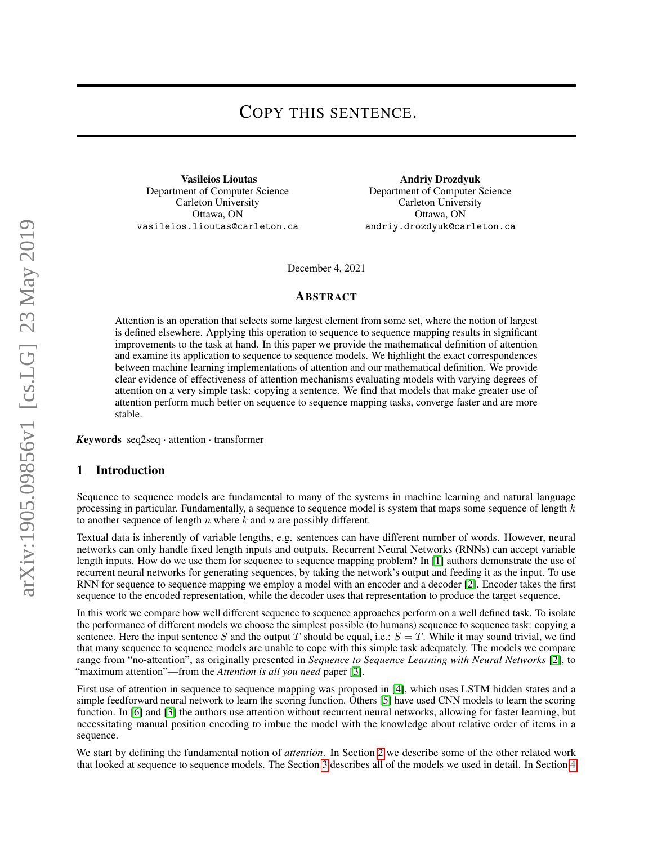# COPY THIS SENTENCE.

Vasileios Lioutas Department of Computer Science Carleton University Ottawa, ON vasileios.lioutas@carleton.ca

Andriy Drozdyuk Department of Computer Science Carleton University Ottawa, ON andriy.drozdyuk@carleton.ca

December 4, 2021

#### ABSTRACT

Attention is an operation that selects some largest element from some set, where the notion of largest is defined elsewhere. Applying this operation to sequence to sequence mapping results in significant improvements to the task at hand. In this paper we provide the mathematical definition of attention and examine its application to sequence to sequence models. We highlight the exact correspondences between machine learning implementations of attention and our mathematical definition. We provide clear evidence of effectiveness of attention mechanisms evaluating models with varying degrees of attention on a very simple task: copying a sentence. We find that models that make greater use of attention perform much better on sequence to sequence mapping tasks, converge faster and are more stable.

*K*eywords seq2seq · attention · transformer

#### 1 Introduction

Sequence to sequence models are fundamental to many of the systems in machine learning and natural language processing in particular. Fundamentally, a sequence to sequence model is system that maps some sequence of length  $k$ to another sequence of length  $n$  where  $k$  and  $n$  are possibly different.

Textual data is inherently of variable lengths, e.g. sentences can have different number of words. However, neural networks can only handle fixed length inputs and outputs. Recurrent Neural Networks (RNNs) can accept variable length inputs. How do we use them for sequence to sequence mapping problem? In [\[1\]](#page-15-0) authors demonstrate the use of recurrent neural networks for generating sequences, by taking the network's output and feeding it as the input. To use RNN for sequence to sequence mapping we employ a model with an encoder and a decoder [\[2\]](#page-15-1). Encoder takes the first sequence to the encoded representation, while the decoder uses that representation to produce the target sequence.

In this work we compare how well different sequence to sequence approaches perform on a well defined task. To isolate the performance of different models we choose the simplest possible (to humans) sequence to sequence task: copying a sentence. Here the input sentence S and the output T should be equal, i.e.:  $S = T$ . While it may sound trivial, we find that many sequence to sequence models are unable to cope with this simple task adequately. The models we compare range from "no-attention", as originally presented in *Sequence to Sequence Learning with Neural Networks* [\[2\]](#page-15-1), to "maximum attention"—from the *Attention is all you need* paper [\[3\]](#page-15-2).

First use of attention in sequence to sequence mapping was proposed in [\[4\]](#page-15-3), which uses LSTM hidden states and a simple feedforward neural network to learn the scoring function. Others [\[5\]](#page-15-4) have used CNN models to learn the scoring function. In [\[6\]](#page-15-5) and [\[3\]](#page-15-2) the authors use attention without recurrent neural networks, allowing for faster learning, but necessitating manual position encoding to imbue the model with the knowledge about relative order of items in a sequence.

We start by defining the fundamental notion of *attention*. In Section [2](#page-1-0) we describe some of the other related work that looked at sequence to sequence models. The Section [3](#page-1-1) describes all of the models we used in detail. In Section [4](#page-9-0)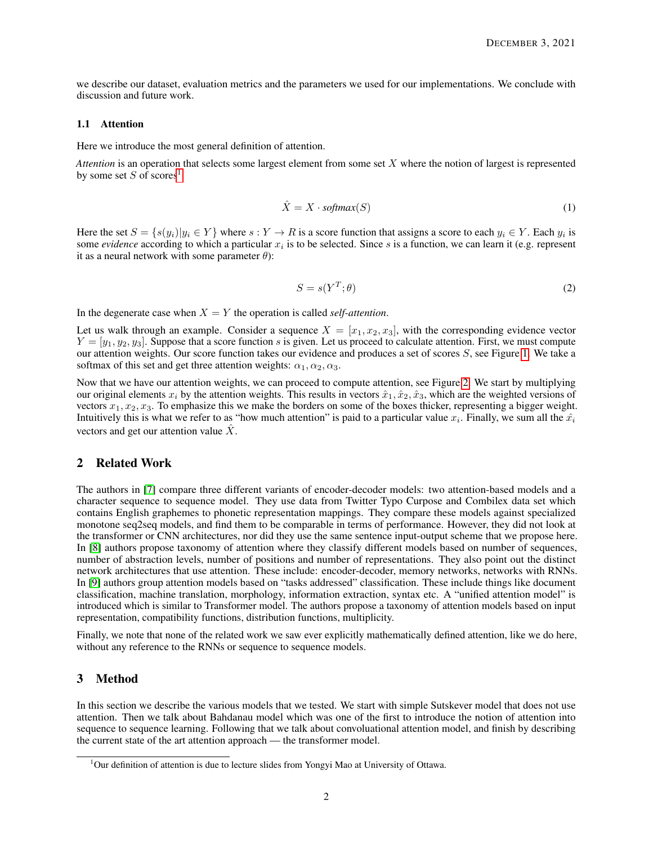we describe our dataset, evaluation metrics and the parameters we used for our implementations. We conclude with discussion and future work.

#### 1.1 Attention

Here we introduce the most general definition of attention.

*Attention* is an operation that selects some largest element from some set X where the notion of largest is represented by some set S of scores<sup>[1](#page-1-2)</sup>:

$$
\hat{X} = X \cdot softmax(S) \tag{1}
$$

<span id="page-1-3"></span>Here the set  $S = \{s(y_i)|y_i \in Y\}$  where  $s: Y \to R$  is a score function that assigns a score to each  $y_i \in Y$ . Each  $y_i$  is some *evidence* according to which a particular  $x_i$  is to be selected. Since s is a function, we can learn it (e.g. represent it as a neural network with some parameter  $\theta$ ):

$$
S = s(Y^T; \theta) \tag{2}
$$

In the degenerate case when  $X = Y$  the operation is called *self-attention*.

Let us walk through an example. Consider a sequence  $X = [x_1, x_2, x_3]$ , with the corresponding evidence vector  $Y = [y_1, y_2, y_3]$ . Suppose that a score function s is given. Let us proceed to calculate attention. First, we must compute our attention weights. Our score function takes our evidence and produces a set of scores S, see Figure [1.](#page-2-0) We take a softmax of this set and get three attention weights:  $\alpha_1, \alpha_2, \alpha_3$ .

Now that we have our attention weights, we can proceed to compute attention, see Figure [2.](#page-3-0) We start by multiplying our original elements  $x_i$  by the attention weights. This results in vectors  $\hat{x}_1, \hat{x}_2, \hat{x}_3$ , which are the weighted versions of vectors  $x_1, x_2, x_3$ . To emphasize this we make the borders on some of the boxes thicker, representing a bigger weight. Intuitively this is what we refer to as "how much attention" is paid to a particular value  $x_i$ . Finally, we sum all the  $\hat{x_i}$ vectors and get our attention value  $\ddot{X}$ .

### <span id="page-1-0"></span>2 Related Work

The authors in [\[7\]](#page-15-6) compare three different variants of encoder-decoder models: two attention-based models and a character sequence to sequence model. They use data from Twitter Typo Curpose and Combilex data set which contains English graphemes to phonetic representation mappings. They compare these models against specialized monotone seq2seq models, and find them to be comparable in terms of performance. However, they did not look at the transformer or CNN architectures, nor did they use the same sentence input-output scheme that we propose here. In [\[8\]](#page-15-7) authors propose taxonomy of attention where they classify different models based on number of sequences, number of abstraction levels, number of positions and number of representations. They also point out the distinct network architectures that use attention. These include: encoder-decoder, memory networks, networks with RNNs. In [\[9\]](#page-15-8) authors group attention models based on "tasks addressed" classification. These include things like document classification, machine translation, morphology, information extraction, syntax etc. A "unified attention model" is introduced which is similar to Transformer model. The authors propose a taxonomy of attention models based on input representation, compatibility functions, distribution functions, multiplicity.

Finally, we note that none of the related work we saw ever explicitly mathematically defined attention, like we do here, without any reference to the RNNs or sequence to sequence models.

### <span id="page-1-1"></span>3 Method

In this section we describe the various models that we tested. We start with simple Sutskever model that does not use attention. Then we talk about Bahdanau model which was one of the first to introduce the notion of attention into sequence to sequence learning. Following that we talk about convoluational attention model, and finish by describing the current state of the art attention approach — the transformer model.

<span id="page-1-2"></span> $1<sup>1</sup>$ Our definition of attention is due to lecture slides from Yongyi Mao at University of Ottawa.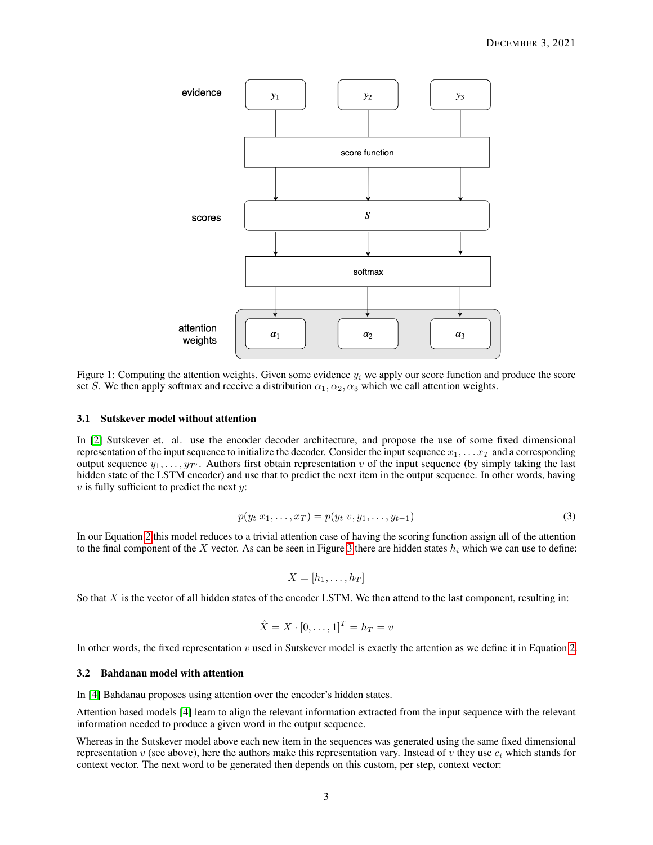

<span id="page-2-0"></span>Figure 1: Computing the attention weights. Given some evidence  $y_i$  we apply our score function and produce the score set S. We then apply softmax and receive a distribution  $\alpha_1, \alpha_2, \alpha_3$  which we call attention weights.

#### 3.1 Sutskever model without attention

In [\[2\]](#page-15-1) Sutskever et. al. use the encoder decoder architecture, and propose the use of some fixed dimensional representation of the input sequence to initialize the decoder. Consider the input sequence  $x_1, \ldots x_T$  and a corresponding output sequence  $y_1, \ldots, y_{T'}$ . Authors first obtain representation v of the input sequence (by simply taking the last hidden state of the LSTM encoder) and use that to predict the next item in the output sequence. In other words, having  $v$  is fully sufficient to predict the next  $y$ :

$$
p(y_t|x_1,\ldots,x_T) = p(y_t|v,y_1,\ldots,y_{t-1})
$$
\n(3)

<span id="page-2-1"></span>In our Equation [2](#page-1-3) this model reduces to a trivial attention case of having the scoring function assign all of the attention to the final component of the X vector. As can be seen in Figure [3](#page-4-0) there are hidden states  $h_i$  which we can use to define:

$$
X = [h_1, \ldots, h_T]
$$

So that  $X$  is the vector of all hidden states of the encoder LSTM. We then attend to the last component, resulting in:

$$
\hat{X} = X \cdot [0, \dots, 1]^T = h_T = v
$$

In other words, the fixed representation v used in Sutskever model is exactly the attention as we define it in Equation [2.](#page-1-3)

#### <span id="page-2-2"></span>3.2 Bahdanau model with attention

In [\[4\]](#page-15-3) Bahdanau proposes using attention over the encoder's hidden states.

Attention based models [\[4\]](#page-15-3) learn to align the relevant information extracted from the input sequence with the relevant information needed to produce a given word in the output sequence.

Whereas in the Sutskever model above each new item in the sequences was generated using the same fixed dimensional representation v (see above), here the authors make this representation vary. Instead of v they use  $c_i$  which stands for context vector. The next word to be generated then depends on this custom, per step, context vector: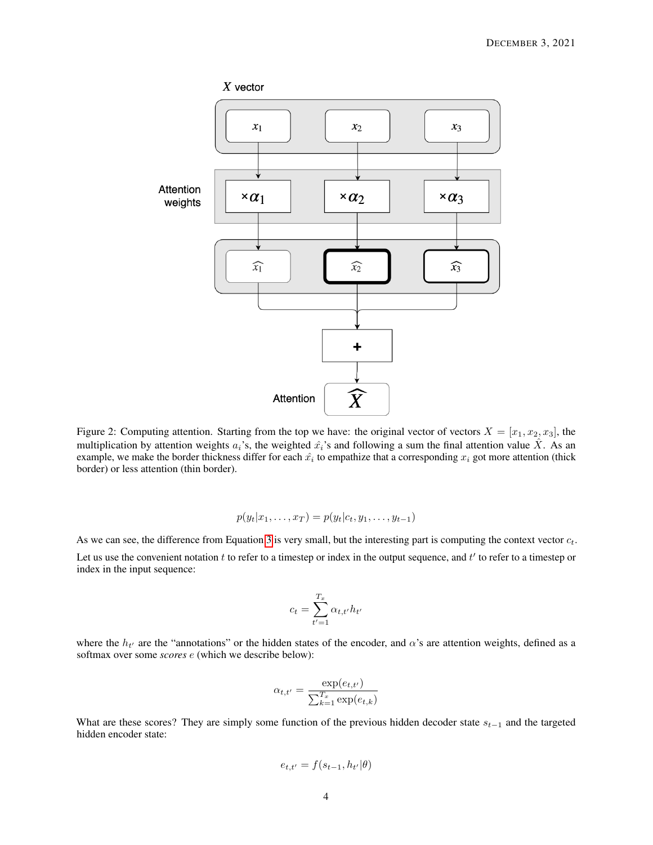

<span id="page-3-0"></span>Figure 2: Computing attention. Starting from the top we have: the original vector of vectors  $X = [x_1, x_2, x_3]$ , the multiplication by attention weights  $a_i$ 's, the weighted  $\hat{x}_i$ 's and following a sum the final attention value  $\hat{X}$ . As an example, we make the border thickness differ for each  $\hat{x_i}$  to empathize that a corresponding  $x_i$  got more attention (thick border) or less attention (thin border).

$$
p(y_t|x_1,\ldots,x_T) = p(y_t|c_t,y_1,\ldots,y_{t-1})
$$

As we can see, the difference from Equation [3](#page-2-1) is very small, but the interesting part is computing the context vector  $c_t$ .

Let us use the convenient notation  $t$  to refer to a timestep or index in the output sequence, and  $t'$  to refer to a timestep or index in the input sequence:

$$
c_t = \sum_{t'=1}^{T_x} \alpha_{t,t'} h_{t'}
$$

where the  $h_{t'}$  are the "annotations" or the hidden states of the encoder, and  $\alpha$ 's are attention weights, defined as a softmax over some *scores* e (which we describe below):

$$
\alpha_{t,t'} = \frac{\exp(e_{t,t'})}{\sum_{k=1}^{T_x} \exp(e_{t,k})}
$$

What are these scores? They are simply some function of the previous hidden decoder state  $s_{t-1}$  and the targeted hidden encoder state:

$$
e_{t,t'} = f(s_{t-1}, h_{t'} | \theta)
$$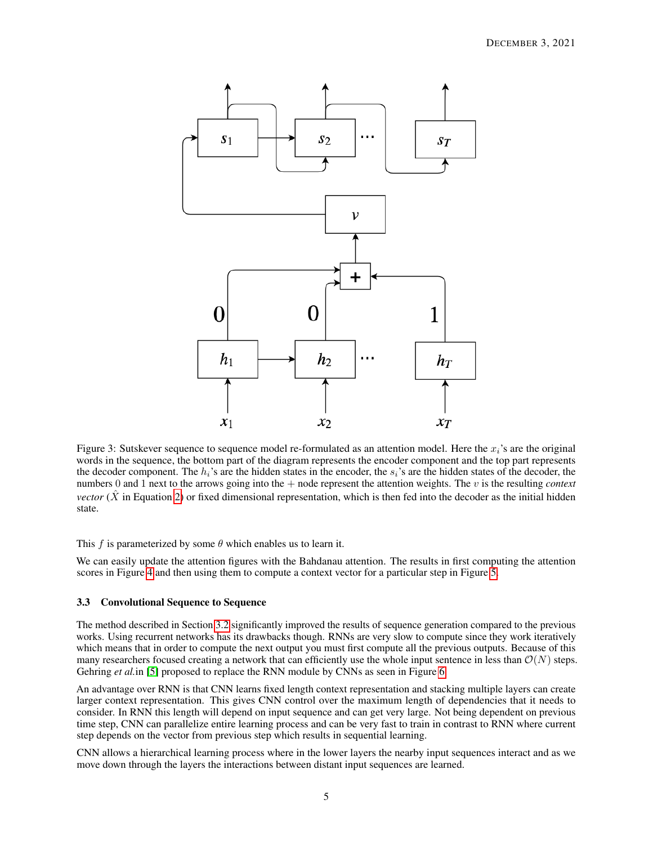

<span id="page-4-0"></span>Figure 3: Sutskever sequence to sequence model re-formulated as an attention model. Here the  $x_i$ 's are the original words in the sequence, the bottom part of the diagram represents the encoder component and the top part represents the decoder component. The  $h_i$ 's are the hidden states in the encoder, the  $s_i$ 's are the hidden states of the decoder, the numbers 0 and 1 next to the arrows going into the + node represent the attention weights. The v is the resulting *context vector* ( $\hat{X}$  in Equation [2\)](#page-1-3) or fixed dimensional representation, which is then fed into the decoder as the initial hidden state.

This f is parameterized by some  $\theta$  which enables us to learn it.

We can easily update the attention figures with the Bahdanau attention. The results in first computing the attention scores in Figure [4](#page-5-0) and then using them to compute a context vector for a particular step in Figure [5.](#page-6-0)

#### <span id="page-4-1"></span>3.3 Convolutional Sequence to Sequence

The method described in Section [3.2](#page-2-2) significantly improved the results of sequence generation compared to the previous works. Using recurrent networks has its drawbacks though. RNNs are very slow to compute since they work iteratively which means that in order to compute the next output you must first compute all the previous outputs. Because of this many researchers focused creating a network that can efficiently use the whole input sentence in less than  $\mathcal{O}(N)$  steps. Gehring *et al.* in [\[5\]](#page-15-4) proposed to replace the RNN module by CNNs as seen in Figure [6.](#page-7-0)

An advantage over RNN is that CNN learns fixed length context representation and stacking multiple layers can create larger context representation. This gives CNN control over the maximum length of dependencies that it needs to consider. In RNN this length will depend on input sequence and can get very large. Not being dependent on previous time step, CNN can parallelize entire learning process and can be very fast to train in contrast to RNN where current step depends on the vector from previous step which results in sequential learning.

CNN allows a hierarchical learning process where in the lower layers the nearby input sequences interact and as we move down through the layers the interactions between distant input sequences are learned.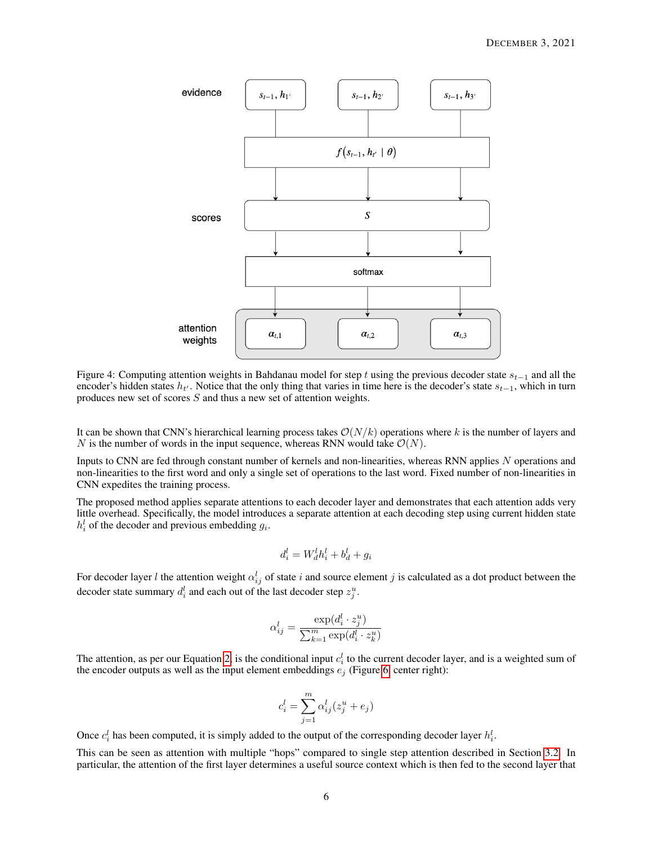

<span id="page-5-0"></span>Figure 4: Computing attention weights in Bahdanau model for step t using the previous decoder state  $s_{t-1}$  and all the encoder's hidden states  $h_{t'}$ . Notice that the only thing that varies in time here is the decoder's state  $s_{t-1}$ , which in turn produces new set of scores S and thus a new set of attention weights.

It can be shown that CNN's hierarchical learning process takes  $\mathcal{O}(N/k)$  operations where k is the number of layers and N is the number of words in the input sequence, whereas RNN would take  $\mathcal{O}(N)$ .

Inputs to CNN are fed through constant number of kernels and non-linearities, whereas RNN applies N operations and non-linearities to the first word and only a single set of operations to the last word. Fixed number of non-linearities in CNN expedites the training process.

The proposed method applies separate attentions to each decoder layer and demonstrates that each attention adds very little overhead. Specifically, the model introduces a separate attention at each decoding step using current hidden state  $h_i^l$  of the decoder and previous embedding  $g_i$ .

$$
d_i^l = W_d^l h_i^l + b_d^l + g_i
$$

For decoder layer l the attention weight  $\alpha_{ij}^l$  of state i and source element j is calculated as a dot product between the decoder state summary  $d_i^l$  and each out of the last decoder step  $z_j^u$ .

$$
\alpha_{ij}^l = \frac{\exp(d_i^l \cdot z_j^u)}{\sum_{k=1}^m \exp(d_i^l \cdot z_k^u)}
$$

The attention, as per our Equation [2,](#page-1-3) is the conditional input  $c_i^l$  to the current decoder layer, and is a weighted sum of the encoder outputs as well as the input element embeddings  $e_i$  (Figure [6,](#page-7-0) center right):

$$
c_i^l = \sum_{j=1}^m \alpha_{ij}^l (z_j^u + e_j)
$$

Once  $c_i^l$  has been computed, it is simply added to the output of the corresponding decoder layer  $h_i^l$ .

This can be seen as attention with multiple "hops" compared to single step attention described in Section [3.2.](#page-2-2) In particular, the attention of the first layer determines a useful source context which is then fed to the second layer that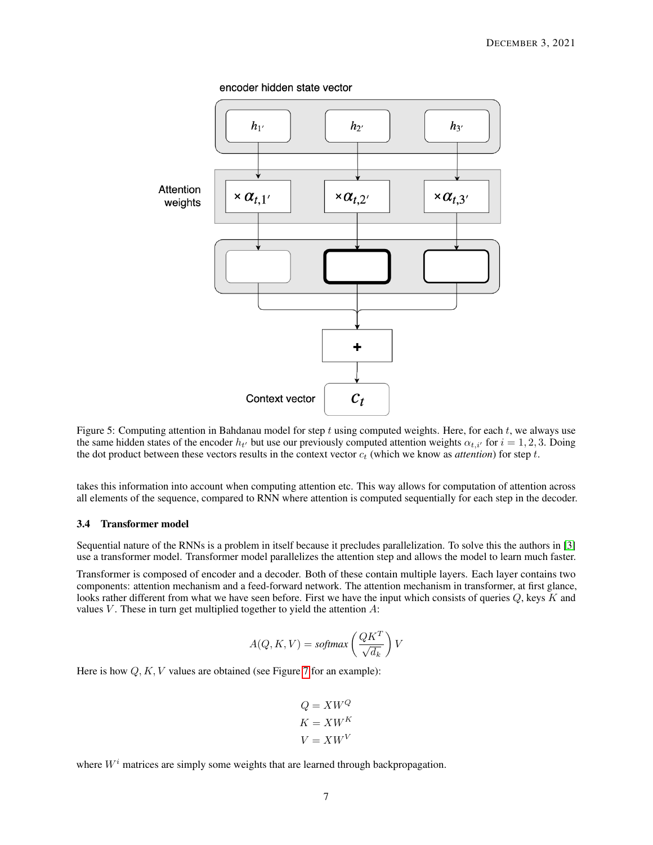encoder hidden state vector



<span id="page-6-0"></span>Figure 5: Computing attention in Bahdanau model for step  $t$  using computed weights. Here, for each  $t$ , we always use the same hidden states of the encoder  $h_{t'}$  but use our previously computed attention weights  $\alpha_{t,i'}$  for  $i = 1, 2, 3$ . Doing the dot product between these vectors results in the context vector  $c_t$  (which we know as *attention*) for step t.

takes this information into account when computing attention etc. This way allows for computation of attention across all elements of the sequence, compared to RNN where attention is computed sequentially for each step in the decoder.

#### 3.4 Transformer model

Sequential nature of the RNNs is a problem in itself because it precludes parallelization. To solve this the authors in [\[3\]](#page-15-2) use a transformer model. Transformer model parallelizes the attention step and allows the model to learn much faster.

Transformer is composed of encoder and a decoder. Both of these contain multiple layers. Each layer contains two components: attention mechanism and a feed-forward network. The attention mechanism in transformer, at first glance, looks rather different from what we have seen before. First we have the input which consists of queries  $Q$ , keys  $\overline{K}$  and values  $V$ . These in turn get multiplied together to yield the attention  $A$ :

$$
A(Q, K, V) = softmax \left(\frac{QK^T}{\sqrt{d_k}}\right) V
$$

Here is how  $Q, K, V$  values are obtained (see Figure [7](#page-8-0) for an example):

$$
Q = XW^{Q}
$$

$$
K = XW^{K}
$$

$$
V = XW^{V}
$$

where  $W<sup>i</sup>$  matrices are simply some weights that are learned through backpropagation.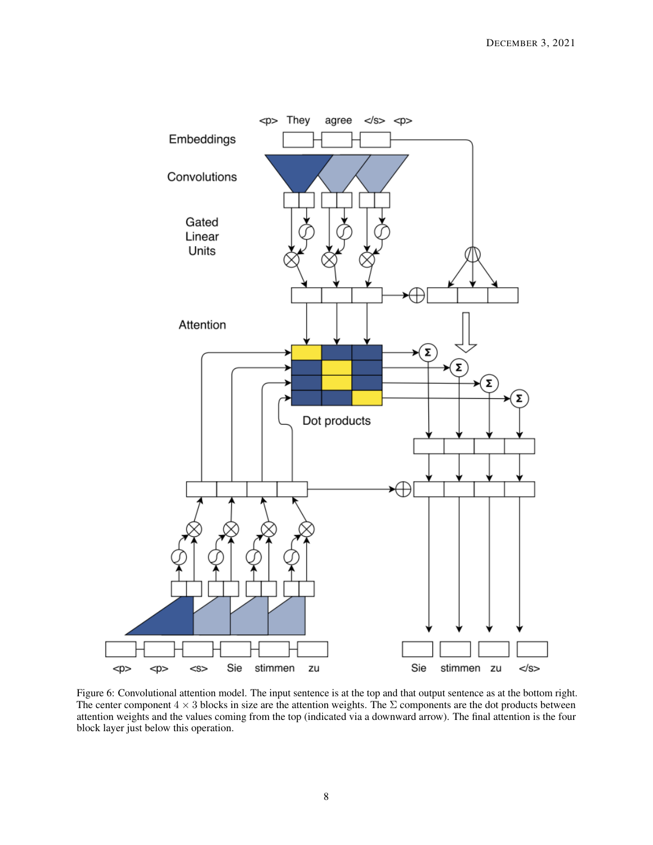

<span id="page-7-0"></span>Figure 6: Convolutional attention model. The input sentence is at the top and that output sentence as at the bottom right. The center component  $4 \times 3$  blocks in size are the attention weights. The  $\Sigma$  components are the dot products between attention weights and the values coming from the top (indicated via a downward arrow). The final attention is the four block layer just below this operation.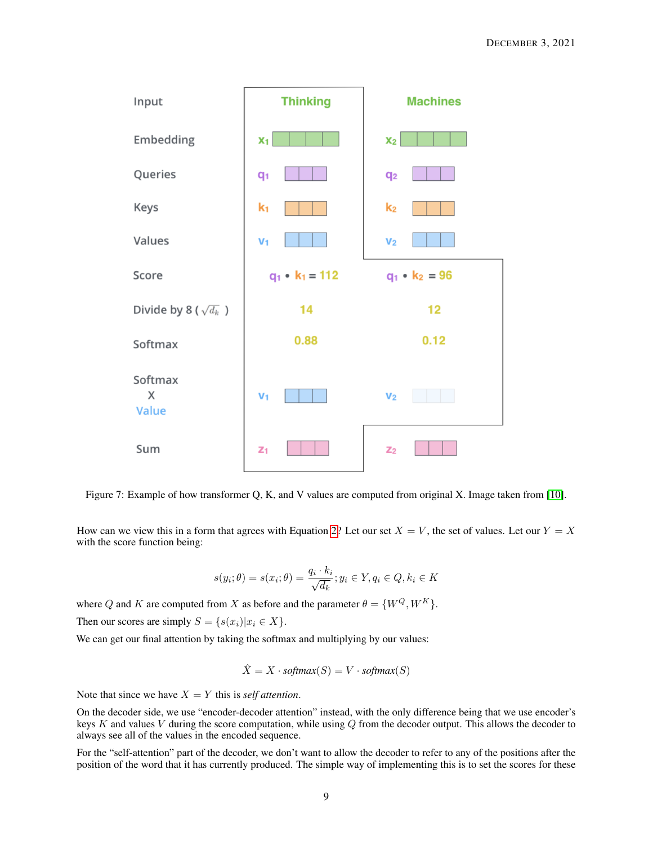

<span id="page-8-0"></span>Figure 7: Example of how transformer Q, K, and V values are computed from original X. Image taken from [\[10\]](#page-15-9).

How can we view this in a form that agrees with Equation [2?](#page-1-3) Let our set  $X = V$ , the set of values. Let our  $Y = X$ with the score function being:

$$
s(y_i; \theta) = s(x_i; \theta) = \frac{q_i \cdot k_i}{\sqrt{d_k}}; y_i \in Y, q_i \in Q, k_i \in K
$$

where Q and K are computed from X as before and the parameter  $\theta = \{W^Q, W^K\}$ . Then our scores are simply  $S = \{s(x_i)|x_i \in X\}.$ 

We can get our final attention by taking the softmax and multiplying by our values:

$$
\hat{X} = X \cdot softmax(S) = V \cdot softmax(S)
$$

Note that since we have  $X = Y$  this is *self attention*.

On the decoder side, we use "encoder-decoder attention" instead, with the only difference being that we use encoder's keys K and values V during the score computation, while using  $Q$  from the decoder output. This allows the decoder to always see all of the values in the encoded sequence.

For the "self-attention" part of the decoder, we don't want to allow the decoder to refer to any of the positions after the position of the word that it has currently produced. The simple way of implementing this is to set the scores for these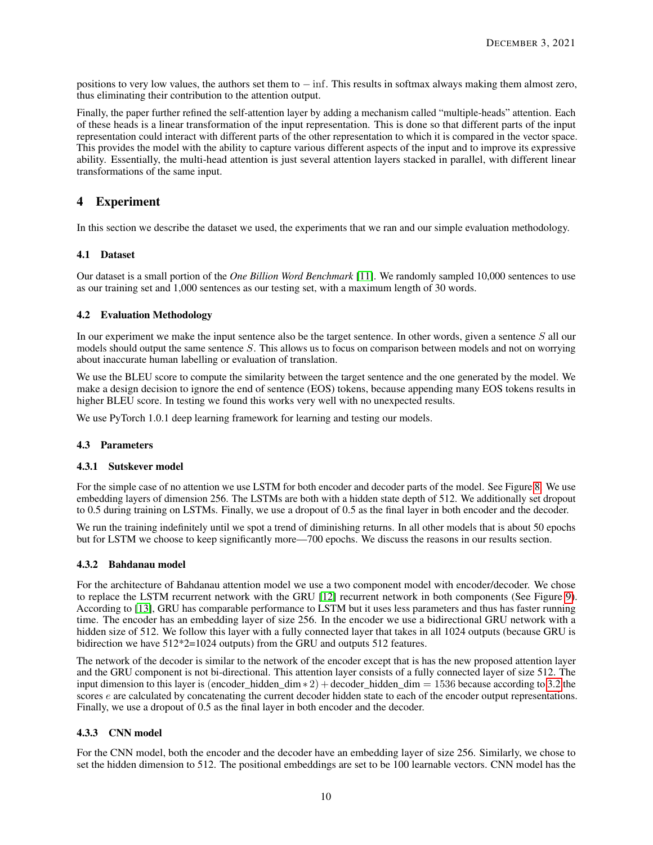positions to very low values, the authors set them to  $-\inf$ . This results in softmax always making them almost zero, thus eliminating their contribution to the attention output.

Finally, the paper further refined the self-attention layer by adding a mechanism called "multiple-heads" attention. Each of these heads is a linear transformation of the input representation. This is done so that different parts of the input representation could interact with different parts of the other representation to which it is compared in the vector space. This provides the model with the ability to capture various different aspects of the input and to improve its expressive ability. Essentially, the multi-head attention is just several attention layers stacked in parallel, with different linear transformations of the same input.

# <span id="page-9-0"></span>4 Experiment

In this section we describe the dataset we used, the experiments that we ran and our simple evaluation methodology.

#### 4.1 Dataset

Our dataset is a small portion of the *One Billion Word Benchmark* [\[11\]](#page-15-10). We randomly sampled 10,000 sentences to use as our training set and 1,000 sentences as our testing set, with a maximum length of 30 words.

#### 4.2 Evaluation Methodology

In our experiment we make the input sentence also be the target sentence. In other words, given a sentence S all our models should output the same sentence  $S$ . This allows us to focus on comparison between models and not on worrying about inaccurate human labelling or evaluation of translation.

We use the BLEU score to compute the similarity between the target sentence and the one generated by the model. We make a design decision to ignore the end of sentence (EOS) tokens, because appending many EOS tokens results in higher BLEU score. In testing we found this works very well with no unexpected results.

We use PyTorch 1.0.1 deep learning framework for learning and testing our models.

#### 4.3 Parameters

#### 4.3.1 Sutskever model

For the simple case of no attention we use LSTM for both encoder and decoder parts of the model. See Figure [8.](#page-10-0) We use embedding layers of dimension 256. The LSTMs are both with a hidden state depth of 512. We additionally set dropout to 0.5 during training on LSTMs. Finally, we use a dropout of 0.5 as the final layer in both encoder and the decoder.

We run the training indefinitely until we spot a trend of diminishing returns. In all other models that is about 50 epochs but for LSTM we choose to keep significantly more—700 epochs. We discuss the reasons in our results section.

#### 4.3.2 Bahdanau model

For the architecture of Bahdanau attention model we use a two component model with encoder/decoder. We chose to replace the LSTM recurrent network with the GRU [\[12\]](#page-15-11) recurrent network in both components (See Figure [9\)](#page-11-0). According to [\[13\]](#page-15-12), GRU has comparable performance to LSTM but it uses less parameters and thus has faster running time. The encoder has an embedding layer of size 256. In the encoder we use a bidirectional GRU network with a hidden size of 512. We follow this layer with a fully connected layer that takes in all 1024 outputs (because GRU is bidirection we have 512\*2=1024 outputs) from the GRU and outputs 512 features.

The network of the decoder is similar to the network of the encoder except that is has the new proposed attention layer and the GRU component is not bi-directional. This attention layer consists of a fully connected layer of size 512. The input dimension to this layer is (encoder hidden dim  $* 2$ ) +decoder hidden dim = 1536 because according to [3.2](#page-2-2) the scores *e* are calculated by concatenating the current decoder hidden state to each of the encoder output representations. Finally, we use a dropout of 0.5 as the final layer in both encoder and the decoder.

#### 4.3.3 CNN model

For the CNN model, both the encoder and the decoder have an embedding layer of size 256. Similarly, we chose to set the hidden dimension to 512. The positional embeddings are set to be 100 learnable vectors. CNN model has the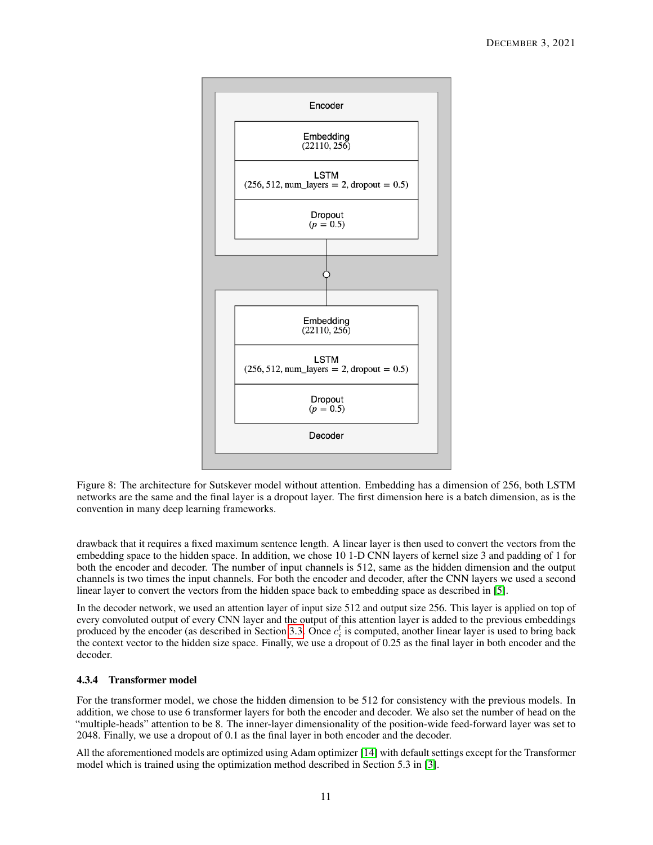

<span id="page-10-0"></span>Figure 8: The architecture for Sutskever model without attention. Embedding has a dimension of 256, both LSTM networks are the same and the final layer is a dropout layer. The first dimension here is a batch dimension, as is the convention in many deep learning frameworks.

drawback that it requires a fixed maximum sentence length. A linear layer is then used to convert the vectors from the embedding space to the hidden space. In addition, we chose 10 1-D CNN layers of kernel size 3 and padding of 1 for both the encoder and decoder. The number of input channels is 512, same as the hidden dimension and the output channels is two times the input channels. For both the encoder and decoder, after the CNN layers we used a second linear layer to convert the vectors from the hidden space back to embedding space as described in [\[5\]](#page-15-4).

In the decoder network, we used an attention layer of input size 512 and output size 256. This layer is applied on top of every convoluted output of every CNN layer and the output of this attention layer is added to the previous embeddings produced by the encoder (as described in Section [3.3.](#page-4-1) Once  $c_i^l$  is computed, another linear layer is used to bring back the context vector to the hidden size space. Finally, we use a dropout of 0.25 as the final layer in both encoder and the decoder.

## 4.3.4 Transformer model

For the transformer model, we chose the hidden dimension to be 512 for consistency with the previous models. In addition, we chose to use 6 transformer layers for both the encoder and decoder. We also set the number of head on the "multiple-heads" attention to be 8. The inner-layer dimensionality of the position-wide feed-forward layer was set to 2048. Finally, we use a dropout of 0.1 as the final layer in both encoder and the decoder.

All the aforementioned models are optimized using Adam optimizer [\[14\]](#page-15-13) with default settings except for the Transformer model which is trained using the optimization method described in Section 5.3 in [\[3\]](#page-15-2).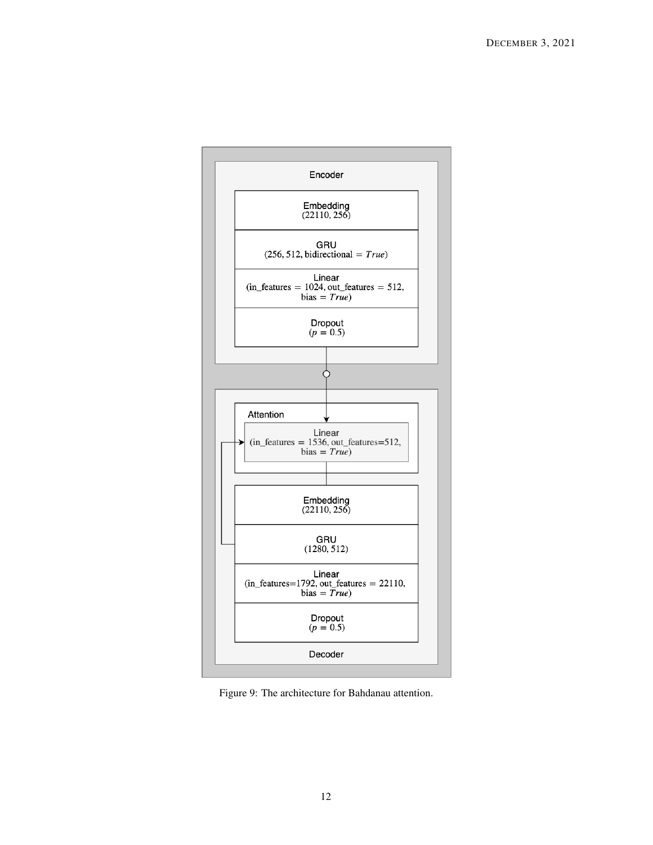

<span id="page-11-0"></span>Figure 9: The architecture for Bahdanau attention.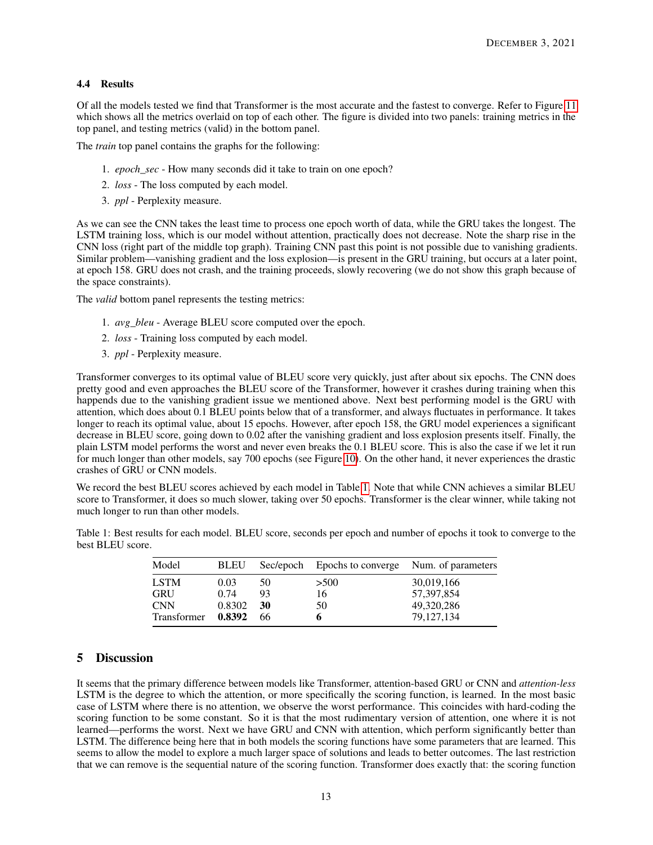# 4.4 Results

Of all the models tested we find that Transformer is the most accurate and the fastest to converge. Refer to Figure [11](#page-14-0) which shows all the metrics overlaid on top of each other. The figure is divided into two panels: training metrics in the top panel, and testing metrics (valid) in the bottom panel.

The *train* top panel contains the graphs for the following:

- 1. *epoch\_sec* How many seconds did it take to train on one epoch?
- 2. *loss* The loss computed by each model.
- 3. *ppl* Perplexity measure.

As we can see the CNN takes the least time to process one epoch worth of data, while the GRU takes the longest. The LSTM training loss, which is our model without attention, practically does not decrease. Note the sharp rise in the CNN loss (right part of the middle top graph). Training CNN past this point is not possible due to vanishing gradients. Similar problem—vanishing gradient and the loss explosion—is present in the GRU training, but occurs at a later point, at epoch 158. GRU does not crash, and the training proceeds, slowly recovering (we do not show this graph because of the space constraints).

The *valid* bottom panel represents the testing metrics:

- 1. *avg\_bleu* Average BLEU score computed over the epoch.
- 2. *loss* Training loss computed by each model.
- 3. *ppl* Perplexity measure.

Transformer converges to its optimal value of BLEU score very quickly, just after about six epochs. The CNN does pretty good and even approaches the BLEU score of the Transformer, however it crashes during training when this happends due to the vanishing gradient issue we mentioned above. Next best performing model is the GRU with attention, which does about 0.1 BLEU points below that of a transformer, and always fluctuates in performance. It takes longer to reach its optimal value, about 15 epochs. However, after epoch 158, the GRU model experiences a significant decrease in BLEU score, going down to 0.02 after the vanishing gradient and loss explosion presents itself. Finally, the plain LSTM model performs the worst and never even breaks the 0.1 BLEU score. This is also the case if we let it run for much longer than other models, say 700 epochs (see Figure [10\)](#page-13-0). On the other hand, it never experiences the drastic crashes of GRU or CNN models.

We record the best BLEU scores achieved by each model in Table [1.](#page-12-0) Note that while CNN achieves a similar BLEU score to Transformer, it does so much slower, taking over 50 epochs. Transformer is the clear winner, while taking not much longer to run than other models.

<span id="page-12-0"></span>Table 1: Best results for each model. BLEU score, seconds per epoch and number of epochs it took to converge to the best BLEU score.

| <b>BLEU</b> |    |      |                                                 |
|-------------|----|------|-------------------------------------------------|
| 0.03        | 50 | >500 | 30,019,166                                      |
| 0.74        | 93 | 16   | 57,397,854                                      |
| 0.8302      | 30 | 50   | 49,320,286                                      |
| 0.8392      | 66 | 6    | 79,127,134                                      |
|             |    |      | Sec/epoch Epochs to converge Num. of parameters |

## 5 Discussion

It seems that the primary difference between models like Transformer, attention-based GRU or CNN and *attention-less* LSTM is the degree to which the attention, or more specifically the scoring function, is learned. In the most basic case of LSTM where there is no attention, we observe the worst performance. This coincides with hard-coding the scoring function to be some constant. So it is that the most rudimentary version of attention, one where it is not learned—performs the worst. Next we have GRU and CNN with attention, which perform significantly better than LSTM. The difference being here that in both models the scoring functions have some parameters that are learned. This seems to allow the model to explore a much larger space of solutions and leads to better outcomes. The last restriction that we can remove is the sequential nature of the scoring function. Transformer does exactly that: the scoring function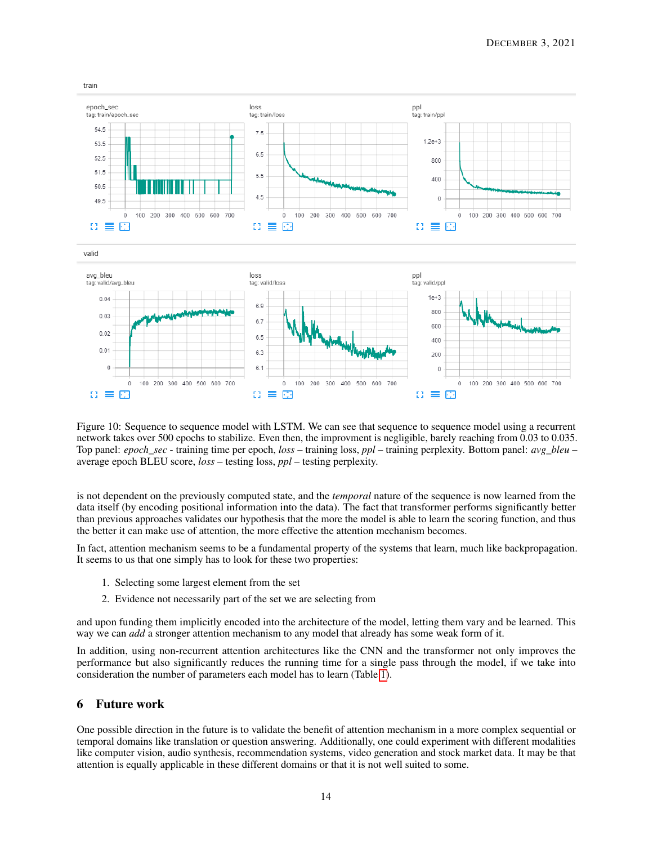

<span id="page-13-0"></span>Figure 10: Sequence to sequence model with LSTM. We can see that sequence to sequence model using a recurrent network takes over 500 epochs to stabilize. Even then, the improvment is negligible, barely reaching from 0.03 to 0.035. Top panel: *epoch\_sec* - training time per epoch, *loss* – training loss, *ppl* – training perplexity. Bottom panel: *avg\_bleu* – average epoch BLEU score, *loss* – testing loss, *ppl* – testing perplexity.

is not dependent on the previously computed state, and the *temporal* nature of the sequence is now learned from the data itself (by encoding positional information into the data). The fact that transformer performs significantly better than previous approaches validates our hypothesis that the more the model is able to learn the scoring function, and thus the better it can make use of attention, the more effective the attention mechanism becomes.

In fact, attention mechanism seems to be a fundamental property of the systems that learn, much like backpropagation. It seems to us that one simply has to look for these two properties:

- 1. Selecting some largest element from the set
- 2. Evidence not necessarily part of the set we are selecting from

and upon funding them implicitly encoded into the architecture of the model, letting them vary and be learned. This way we can *add* a stronger attention mechanism to any model that already has some weak form of it.

In addition, using non-recurrent attention architectures like the CNN and the transformer not only improves the performance but also significantly reduces the running time for a single pass through the model, if we take into consideration the number of parameters each model has to learn (Table [1\)](#page-12-0).

# 6 Future work

One possible direction in the future is to validate the benefit of attention mechanism in a more complex sequential or temporal domains like translation or question answering. Additionally, one could experiment with different modalities like computer vision, audio synthesis, recommendation systems, video generation and stock market data. It may be that attention is equally applicable in these different domains or that it is not well suited to some.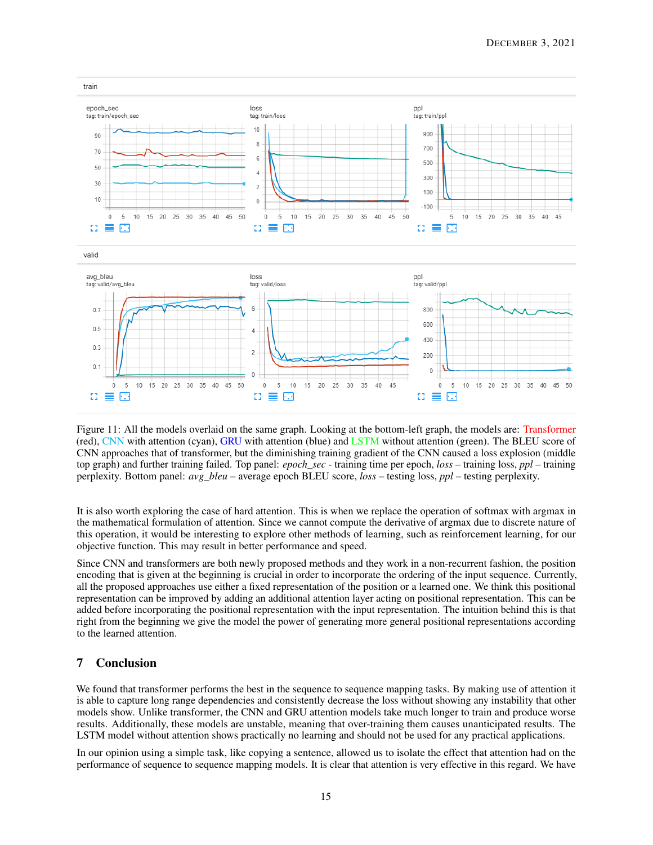

<span id="page-14-0"></span>Figure 11: All the models overlaid on the same graph. Looking at the bottom-left graph, the models are: Transformer (red), CNN with attention (cyan), GRU with attention (blue) and LSTM without attention (green). The BLEU score of CNN approaches that of transformer, but the diminishing training gradient of the CNN caused a loss explosion (middle top graph) and further training failed. Top panel: *epoch\_sec* - training time per epoch, *loss* – training loss, *ppl* – training perplexity. Bottom panel: *avg\_bleu* – average epoch BLEU score, *loss* – testing loss, *ppl* – testing perplexity.

It is also worth exploring the case of hard attention. This is when we replace the operation of softmax with argmax in the mathematical formulation of attention. Since we cannot compute the derivative of argmax due to discrete nature of this operation, it would be interesting to explore other methods of learning, such as reinforcement learning, for our objective function. This may result in better performance and speed.

Since CNN and transformers are both newly proposed methods and they work in a non-recurrent fashion, the position encoding that is given at the beginning is crucial in order to incorporate the ordering of the input sequence. Currently, all the proposed approaches use either a fixed representation of the position or a learned one. We think this positional representation can be improved by adding an additional attention layer acting on positional representation. This can be added before incorporating the positional representation with the input representation. The intuition behind this is that right from the beginning we give the model the power of generating more general positional representations according to the learned attention.

# 7 Conclusion

We found that transformer performs the best in the sequence to sequence mapping tasks. By making use of attention it is able to capture long range dependencies and consistently decrease the loss without showing any instability that other models show. Unlike transformer, the CNN and GRU attention models take much longer to train and produce worse results. Additionally, these models are unstable, meaning that over-training them causes unanticipated results. The LSTM model without attention shows practically no learning and should not be used for any practical applications.

In our opinion using a simple task, like copying a sentence, allowed us to isolate the effect that attention had on the performance of sequence to sequence mapping models. It is clear that attention is very effective in this regard. We have